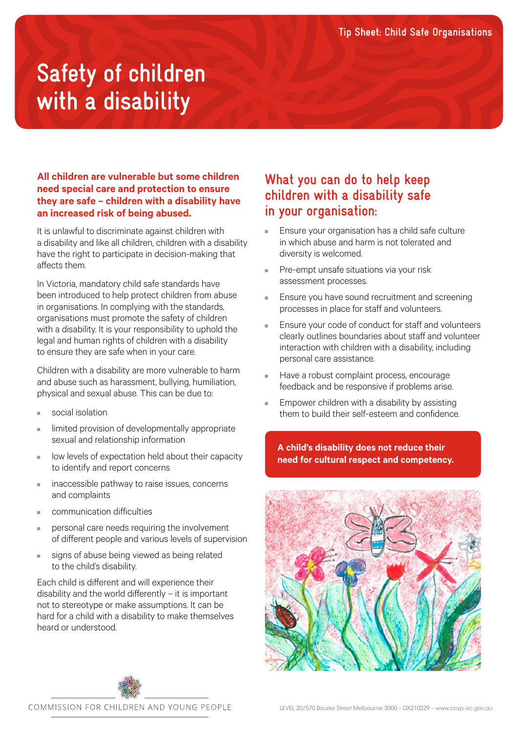# **Safety of children with a disability**

### **All children are vulnerable but some children need special care and protection to ensure they are safe – children with a disability have an increased risk of being abused.**

It is unlawful to discriminate against children with a disability and like all children, children with a disability have the right to participate in decision-making that affects them.

In Victoria, mandatory child safe standards have been introduced to help protect children from abuse in organisations. In complying with the standards, organisations must promote the safety of children with a disability. It is your responsibility to uphold the legal and human rights of children with a disability to ensure they are safe when in your care.

Children with a disability are more vulnerable to harm and abuse such as harassment, bullying, humiliation, physical and sexual abuse. This can be due to:

- social isolation
- limited provision of developmentally appropriate sexual and relationship information
- low levels of expectation held about their capacity to identify and report concerns
- inaccessible pathway to raise issues, concerns and complaints
- communication difficulties
- personal care needs requiring the involvement of different people and various levels of supervision
- signs of abuse being viewed as being related to the child's disability.

Each child is different and will experience their disability and the world differently – it is important not to stereotype or make assumptions. It can be hard for a child with a disability to make themselves heard or understood.

## **What you can do to help keep children with a disability safe in your organisation:**

- Ensure your organisation has a child safe culture in which abuse and harm is not tolerated and diversity is welcomed.
- Pre-empt unsafe situations via your risk assessment processes.
- Ensure you have sound recruitment and screening processes in place for staff and volunteers.
- Ensure your code of conduct for staff and volunteers clearly outlines boundaries about staff and volunteer interaction with children with a disability, including personal care assistance.
- Have a robust complaint process, encourage feedback and be responsive if problems arise.
- Empower children with a disability by assisting them to build their self-esteem and confidence.

**A child's disability does not reduce their need for cultural respect and competency.**